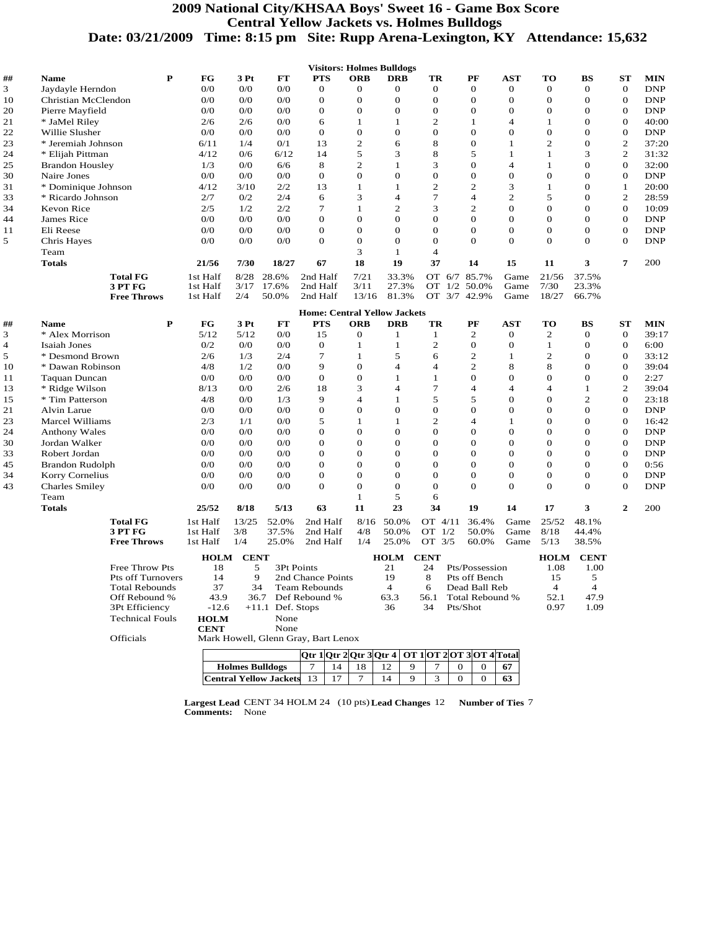## **2009 National City/KHSAA Boys' Sweet 16 - Game Box Score Central Yellow Jackets vs. Holmes Bulldogs Date: 03/21/2009 Time: 8:15 pm Site: Rupp Arena-Lexington, KY Attendance: 15,632**

|    |                        |                          |             |                  |                    | <b>Visitors: Holmes Bulldogs</b>                    |                  |                |                  |                 |                  |                |                |                |            |
|----|------------------------|--------------------------|-------------|------------------|--------------------|-----------------------------------------------------|------------------|----------------|------------------|-----------------|------------------|----------------|----------------|----------------|------------|
| ## | Name                   | P                        | FG          | 3 Pt             | FT                 | <b>PTS</b>                                          | <b>ORB</b>       | <b>DRB</b>     | TR               | PF              | AST              | TO             | BS             | SТ             | <b>MIN</b> |
| 3  | Jaydayle Herndon       |                          | 0/0         | 0/0              | 0/0                | $\overline{0}$                                      | $\overline{0}$   | $\theta$       | $\mathbf{0}$     | $\mathbf{O}$    | $\sigma$         | $\mathbf{O}$   | $\mathbf{O}$   | $\mathbf{O}$   | <b>DNP</b> |
| 10 | Christian McClendon    |                          | 0/0         | 0/0              | 0/0                | $\overline{0}$                                      | $\overline{0}$   | $\overline{0}$ | $\overline{0}$   | $\overline{0}$  | $\overline{0}$   | $\Omega$       | $\mathbf{O}$   | $\mathbf{0}$   | <b>DNP</b> |
| 20 | Pierre Mayfield        |                          | 0/0         | 0/0              | 0/0                | $\mathbf{O}$                                        | $\mathbf{0}$     | $\theta$       | $\overline{0}$   | $\mathbf{O}$    | $\overline{0}$   | $\mathbf 0$    | $\mathbf{0}$   | $\mathbf{0}$   | <b>DNP</b> |
| 21 | * JaMel Riley          |                          | 2/6         | 2/6              | 0/0                | 6                                                   | $\mathbf{1}$     | $\mathbf{1}$   | $\overline{2}$   | 1               | $\overline{4}$   | 1              | $\overline{0}$ | $\mathbf{O}$   | 40:00      |
| 22 | Willie Slusher         |                          | 0/0         | 0/0              | 0/0                | $\mathbf{O}$                                        | $\overline{0}$   | $\overline{0}$ | $\overline{0}$   | $\mathbf{O}$    | $\overline{0}$   | $\theta$       | $\Omega$       | $\mathbf 0$    | <b>DNP</b> |
| 23 | * Jeremiah Johnson     |                          | 6/11        | 1/4              | 0/1                | 13                                                  | $\overline{c}$   | 6              | 8                | $\mathbf{O}$    | $\mathbf{1}$     | $\mathbf{2}$   | $\mathbf{0}$   | $\mathbf{2}$   | 37:20      |
| 24 | * Elijah Pittman       |                          | 4/12        | 0/6              | 6/12               | 14                                                  | 5                | 3              | 8                | 5               | $\mathbf{1}$     | $\mathbf{1}$   | 3              | $\overline{c}$ | 31:32      |
| 25 | <b>Brandon Housley</b> |                          | 1/3         | 0/0              | 6/6                | 8                                                   | $\overline{c}$   | $\mathbf{1}$   | 3                | $\mathbf{O}$    | 4                | 1              | $\mathbf 0$    | $\mathbf 0$    | 32:00      |
| 30 | Naire Jones            |                          | 0/0         | 0/0              | 0/0                | $\theta$                                            | $\overline{0}$   | $\overline{0}$ | $\overline{0}$   | $\mathbf{O}$    | $\overline{0}$   | $\Omega$       | $\overline{0}$ | $\mathbf 0$    | <b>DNP</b> |
| 31 | * Dominique Johnson    |                          | 4/12        | 3/10             | 2/2                | 13                                                  | $\mathbf{1}$     | $\mathbf{1}$   | $\overline{c}$   | $\overline{c}$  | 3                | $\mathbf{1}$   | $\mathbf 0$    | $\mathbf{1}$   | 20:00      |
| 33 | * Ricardo Johnson      |                          | 2/7         | 0/2              | 2/4                | 6                                                   | 3                | 4              | 7                | 4               | $\overline{c}$   | 5              | $\mathbf 0$    | $\mathbf{2}$   | 28:59      |
| 34 | Kevon Rice             |                          | 2/5         | 1/2              | 2/2                | 7                                                   | 1                | $\overline{2}$ | 3                | $\overline{c}$  | $\Omega$         | $\Omega$       | $\Omega$       | $\mathbf 0$    | 10:09      |
| 44 | James Rice             |                          | 0/0         | 0/0              | 0/0                | $\overline{0}$                                      | $\overline{0}$   | $\overline{0}$ | $\overline{0}$   | $\overline{0}$  | $\overline{0}$   | $\Omega$       | $\mathbf{O}$   | $\mathbf{O}$   | <b>DNP</b> |
| 11 | Eli Reese              |                          | 0/0         | 0/0              | 0/0                | $\theta$                                            | $\overline{0}$   | $\Omega$       | $\overline{0}$   | $\Omega$        | $\overline{0}$   | $\theta$       | $\mathbf{O}$   | $\mathbf{O}$   | <b>DNP</b> |
| 5  | Chris Hayes            |                          | 0/0         | 0/0              | 0/0                | $\overline{0}$                                      | $\overline{0}$   | $\Omega$       | $\overline{0}$   | $\overline{0}$  | $\mathbf{O}$     | $\Omega$       | $\mathbf{O}$   | $\mathbf{O}$   | <b>DNP</b> |
|    | Team                   |                          |             |                  |                    |                                                     | 3                | $\mathbf{1}$   | $\overline{4}$   |                 |                  |                |                |                |            |
|    | <b>Totals</b>          |                          | 21/56       | 7/30             | 18/27              | 67                                                  | 18               | 19             | 37               | 14              | 15               | 11             | 3              | $\overline{7}$ | 200        |
|    | <b>Total FG</b>        |                          | 1st Half    | 8/28             | 28.6%              | 2nd Half                                            | 7/21             | 33.3%          | OT 6/7           | 85.7%           | Game             | 21/56          | 37.5%          |                |            |
|    | 3 PT FG                |                          | 1st Half    | 3/17             | 17.6%              | 2nd Half                                            | 3/11             | 27.3%          | OT $1/2$         | 50.0%           | Game             | 7/30           | 23.3%          |                |            |
|    |                        | <b>Free Throws</b>       | 1st Half    | 2/4              | 50.0%              | 2nd Half                                            | 13/16            | 81.3%          |                  | OT 3/7 42.9%    | Game             | 18/27          | 66.7%          |                |            |
|    |                        |                          |             |                  |                    | <b>Home: Central Yellow Jackets</b>                 |                  |                |                  |                 |                  |                |                |                |            |
| ## | <b>Name</b>            | ${\bf P}$                | FG          | 3 Pt             | FT                 | <b>PTS</b>                                          | <b>ORB</b>       | <b>DRB</b>     | TR               | PF              | <b>AST</b>       | TO             | <b>BS</b>      | <b>ST</b>      | <b>MIN</b> |
| 3  | * Alex Morrison        |                          | 5/12        | 5/12             | 0/0                | 15                                                  | $\boldsymbol{0}$ | 1              | 1                | 2               | $\theta$         | 2              | $\theta$       | $\mathbf 0$    | 39:17      |
| 4  | Isaiah Jones           |                          | 0/2         | 0/0              | 0/0                | $\mathbf{O}$                                        | $\mathbf{1}$     | $\mathbf{1}$   | 2                | $\mathbf{O}$    | $\theta$         | $\mathbf{1}$   | $\mathbf{0}$   | $\theta$       | 6:00       |
| 5  | * Desmond Brown        |                          | 2/6         | 1/3              | 2/4                | $\overline{7}$                                      | 1                | 5              | 6                | $\overline{c}$  | 1                | 2              | $\overline{0}$ | $\mathbf{O}$   | 33:12      |
| 10 | * Dawan Robinson       |                          | 4/8         | 1/2              | 0/0                | $\mathbf{Q}$                                        | $\overline{0}$   | $\overline{4}$ | $\overline{4}$   | $\overline{c}$  | 8                | 8              | $\mathbf{O}$   | $\mathbf{0}$   | 39:04      |
| 11 | <b>Taquan Duncan</b>   |                          | 0/0         | 0/0              | 0/0                | $\overline{0}$                                      | $\overline{0}$   | $\mathbf{1}$   | $\mathbf{1}$     | $\overline{0}$  | $\overline{0}$   | $\Omega$       | $\overline{0}$ | $\mathbf{0}$   | 2:27       |
| 13 | * Ridge Wilson         |                          | 8/13        | 0/0              | 2/6                | 18                                                  | 3                | $\overline{4}$ | 7                | $\overline{4}$  | $\overline{4}$   | $\overline{4}$ | $\mathbf{1}$   | $\mathbf{2}$   | 39:04      |
| 15 | * Tim Patterson        |                          | 4/8         | 0/0              | 1/3                | 9                                                   | $\overline{4}$   | $\mathbf{1}$   | 5                | 5               | $\overline{0}$   | $\Omega$       | $\mathbf{2}$   | $\mathbf{0}$   | 23:18      |
| 21 | Alvin Larue            |                          | 0/0         | 0/0              | 0/0                | $\mathbf{O}$                                        | $\overline{0}$   | $\Omega$       | $\overline{0}$   | $\Omega$        | $\overline{0}$   | $\theta$       | $\mathbf{O}$   | $\mathbf{0}$   | <b>DNP</b> |
| 23 | <b>Marcel Williams</b> |                          | 2/3         | 1/1              | 0/0                | 5                                                   | $\mathbf{1}$     | $\mathbf{1}$   | $\overline{c}$   | $\overline{4}$  | $\mathbf{1}$     | $\mathbf 0$    | $\mathbf 0$    | $\mathbf 0$    | 16:42      |
| 24 | <b>Anthony Wales</b>   |                          | 0/0         | 0/0              | 0/0                | $\overline{0}$                                      | $\overline{0}$   | $\overline{0}$ | $\overline{0}$   | $\overline{0}$  | $\overline{0}$   | $\theta$       | $\overline{0}$ | $\mathbf{0}$   | <b>DNP</b> |
| 30 | Jordan Walker          |                          | 0/0         | 0/0              | 0/0                | $\mathbf{0}$                                        | $\mathbf{0}$     | $\overline{0}$ | $\mathbf{0}$     | $\mathbf{0}$    | $\overline{0}$   | $\theta$       | $\mathbf 0$    | $\mathbf 0$    | <b>DNP</b> |
| 33 | Robert Jordan          |                          | 0/0         | 0/0              | 0/0                | $\mathbf{0}$                                        | $\mathbf{0}$     | $\Omega$       | $\boldsymbol{0}$ | $\mathbf{O}$    | $\boldsymbol{0}$ | $\mathbf 0$    | $\mathbf 0$    | $\mathbf 0$    | <b>DNP</b> |
| 45 | <b>Brandon Rudolph</b> |                          | 0/0         | 0/0              | 0/0                | $\mathbf{O}$                                        | $\overline{0}$   | $\overline{0}$ | $\mathbf{0}$     | $\Omega$        | $\overline{0}$   | $\theta$       | $\mathbf{0}$   | $\mathbf 0$    | 0:56       |
| 34 | Korry Cornelius        |                          | 0/0         | 0/0              | 0/0                | $\Omega$                                            | $\Omega$         | $\Omega$       | $\Omega$         | $\Omega$        | $\mathbf{0}$     | $\mathbf 0$    | $\mathbf{0}$   | $\mathbf{0}$   | <b>DNP</b> |
| 43 | <b>Charles Smiley</b>  |                          | 0/0         | 0/0              | 0/0                | $\Omega$                                            | $\theta$         | $\Omega$       | $\Omega$         | $\Omega$        | $\Omega$         | $\Omega$       | $\Omega$       | $\mathbf{0}$   | <b>DNP</b> |
|    | Team                   |                          |             |                  |                    |                                                     | $\mathbf{1}$     | 5              | 6                |                 |                  |                |                |                |            |
|    | <b>Totals</b>          |                          | 25/52       | 8/18             | 5/13               | 63                                                  | 11               | 23             | 34               | 19              | 14               | 17             | 3              | $\mathbf{2}$   | 200        |
|    | <b>Total FG</b>        |                          | 1st Half    | 13/25            | 52.0%              | 2nd Half                                            | 8/16             | 50.0%          | OT 4/11          | 36.4%           | Game             | 25/52          | 48.1%          |                |            |
|    | 3 PT FG                |                          | 1st Half    | 3/8              | 37.5%              | 2nd Half                                            | 4/8              | 50.0%          | OT<br>1/2        | 50.0%           | Game             | 8/18           | 44.4%          |                |            |
|    |                        | <b>Free Throws</b>       | 1st Half    | 1/4              | 25.0%              | 2nd Half                                            | 1/4              | 25.0%          | OT 3/5           | 60.0%           | Game             | 5/13           | 38.5%          |                |            |
|    |                        |                          |             | <b>HOLM CENT</b> |                    |                                                     |                  | <b>HOLM</b>    | <b>CENT</b>      |                 |                  | <b>HOLM</b>    | <b>CENT</b>    |                |            |
|    |                        | Free Throw Pts           | 18          | 5                | 3Pt Points         |                                                     |                  | 21             | 24               | Pts/Possession  |                  | 1.08           | 1.00           |                |            |
|    |                        | <b>Pts off Turnovers</b> | 14          | $\mathbf{Q}$     |                    | 2nd Chance Points                                   |                  | 19             | 8                | Pts off Bench   |                  | 15             | 5              |                |            |
|    |                        | <b>Total Rebounds</b>    | 37          | 34               |                    | <b>Team Rebounds</b>                                |                  | $\overline{4}$ | 6                | Dead Ball Reb   |                  | $\overline{4}$ | $\overline{4}$ |                |            |
|    |                        | Off Rebound %            | 43.9        | 36.7             |                    | Def Rebound %                                       |                  | 63.3           | 56.1             | Total Rebound % |                  | 52.1           | 47.9           |                |            |
|    |                        | 3Pt Efficiency           | $-12.6$     |                  | $+11.1$ Def. Stops |                                                     |                  | 36             | 34               | Pts/Shot        |                  | 0.97           | 1.09           |                |            |
|    |                        | <b>Technical Fouls</b>   | <b>HOLM</b> |                  | None               |                                                     |                  |                |                  |                 |                  |                |                |                |            |
|    |                        |                          | <b>CENT</b> |                  | None               |                                                     |                  |                |                  |                 |                  |                |                |                |            |
|    | Officials              |                          |             |                  |                    | Mark Howell, Glenn Gray, Bart Lenox                 |                  |                |                  |                 |                  |                |                |                |            |
|    |                        |                          |             |                  |                    | Otr 1 Otr 2 Otr 3 Otr 4   OT 1 OT 2 OT 3 OT 4 Total |                  |                |                  |                 |                  |                |                |                |            |

**Largest Lead** CENT 34 HOLM 24 (10 pts) **Lead Changes** 12 **Number of Ties** 7 **Comments:** None

**Holmes Bulldogs** 7 14 18 12 9 7 0 0 **67 Central Yellow Jackets** 13 | 17 | 7 | 14 | 9 | 3 | 0 | 0 | **63**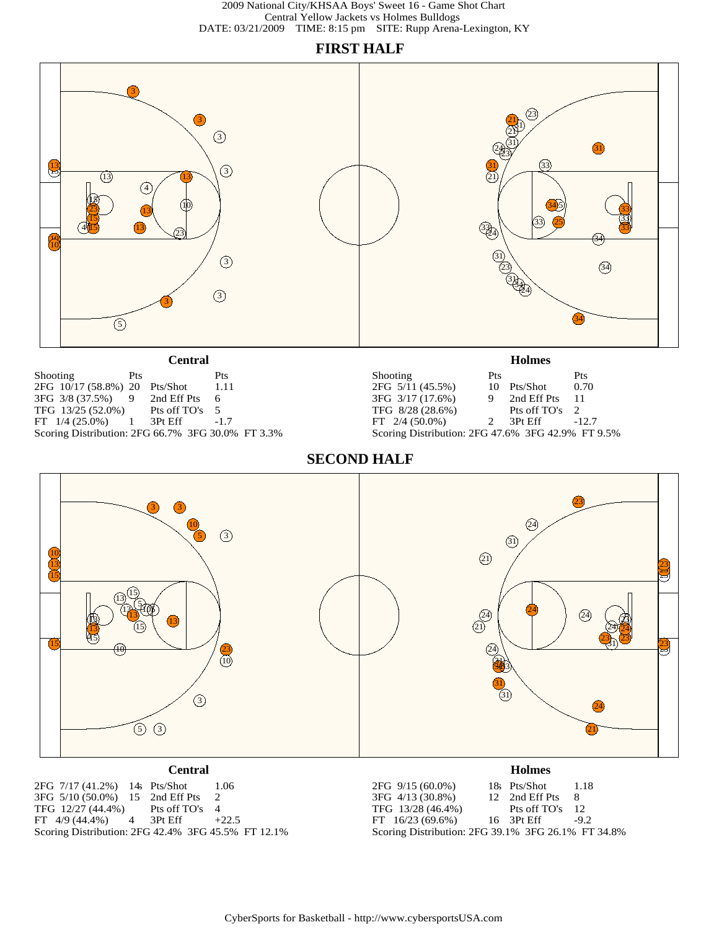## **FIRST HALF**

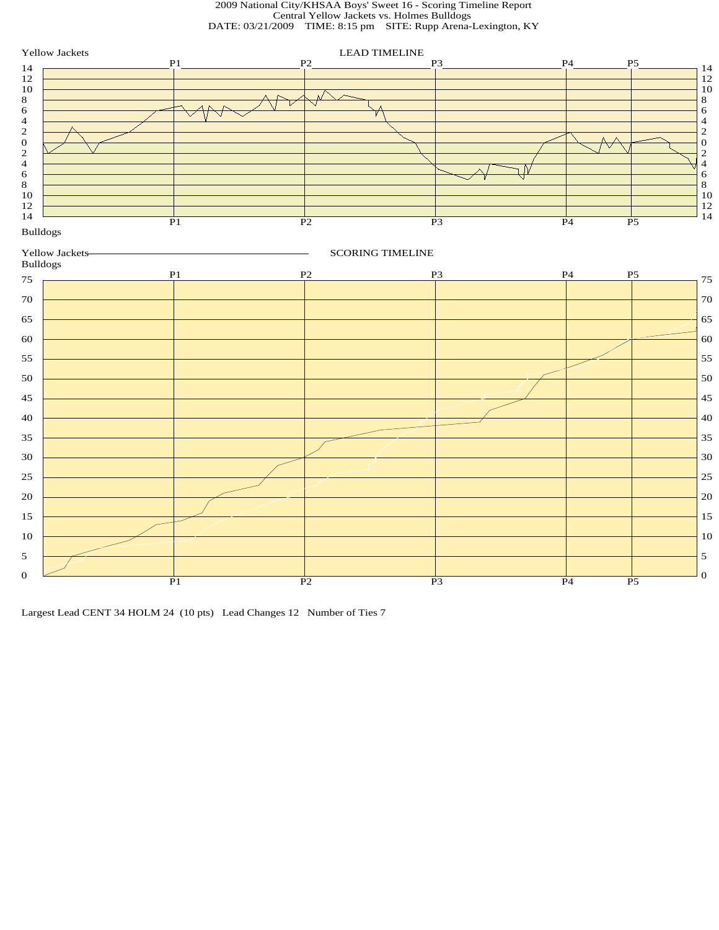## 2009 National City/KHSAA Boys' Sweet 16 - Scoring Timeline Report Central Yellow Jackets vs. Holmes Bulldogs DATE: 03/21/2009 TIME: 8:15 pm SITE: Rupp Arena-Lexington, KY



Largest Lead CENT 34 HOLM 24 (10 pts) Lead Changes 12 Number of Ties 7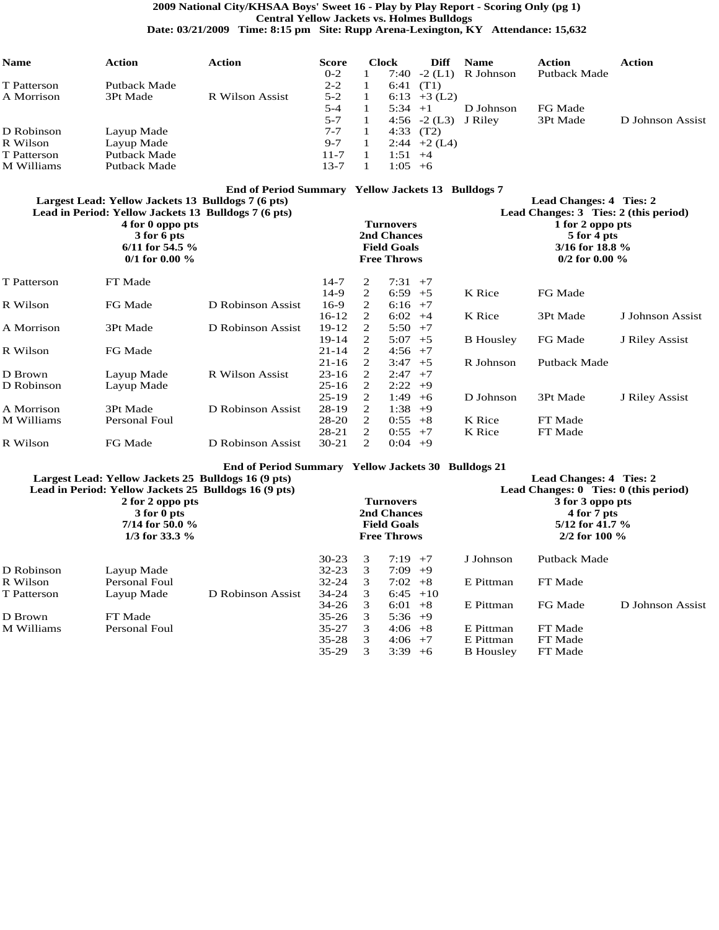**2009 National City/KHSAA Boys' Sweet 16 - Play by Play Report - Scoring Only (pg 1) Central Yellow Jackets vs. Holmes Bulldogs**

**Date: 03/21/2009 Time: 8:15 pm Site: Rupp Arena-Lexington, KY Attendance: 15,632**

| Name        | <b>Action</b>                                         | Action                                              | <b>Score</b><br>$0 - 2$ | 1              | <b>Clock</b>       | <b>Diff</b>    | <b>Name</b><br>7:40 $-2$ (L1) R Johnson | <b>Action</b><br>Putback Made             | <b>Action</b>    |
|-------------|-------------------------------------------------------|-----------------------------------------------------|-------------------------|----------------|--------------------|----------------|-----------------------------------------|-------------------------------------------|------------------|
| T Patterson | Putback Made                                          |                                                     | $2 - 2$                 | $\mathbf{1}$   |                    | 6:41 $(T1)$    |                                         |                                           |                  |
| A Morrison  | 3Pt Made                                              | <b>R</b> Wilson Assist                              | $5 - 2$                 | $\mathbf{1}$   |                    | 6:13 $+3$ (L2) |                                         |                                           |                  |
|             |                                                       |                                                     | $5 - 4$                 | $\mathbf{1}$   | $5:34 +1$          |                | D Johnson                               | FG Made                                   |                  |
|             |                                                       |                                                     | $5 - 7$                 | 1              |                    |                | 4:56 $-2$ (L3) J Riley                  | 3Pt Made                                  | D Johnson Assist |
| D Robinson  | Layup Made                                            |                                                     | $7 - 7$                 | 1              | 4:33 $(T2)$        |                |                                         |                                           |                  |
| R Wilson    | Layup Made                                            |                                                     | $9 - 7$                 | $\mathbf{1}$   |                    | $2:44 +2(L4)$  |                                         |                                           |                  |
| T Patterson | Putback Made                                          |                                                     | $11 - 7$                | $\mathbf{1}$   | $1:51 +4$          |                |                                         |                                           |                  |
| M Williams  | Putback Made                                          |                                                     | $13 - 7$                | $\mathbf{1}$   | $1:05 + 6$         |                |                                         |                                           |                  |
|             |                                                       | End of Period Summary Yellow Jackets 13 Bulldogs 7  |                         |                |                    |                |                                         |                                           |                  |
|             | Largest Lead: Yellow Jackets 13 Bulldogs 7 (6 pts)    |                                                     |                         |                |                    |                |                                         | Lead Changes: 4 Ties: 2                   |                  |
|             | Lead in Period: Yellow Jackets 13 Bulldogs 7 (6 pts)  |                                                     |                         |                |                    |                |                                         | Lead Changes: 3 Ties: 2 (this period)     |                  |
|             | 4 for 0 oppo pts                                      |                                                     |                         |                | <b>Turnovers</b>   |                |                                         | 1 for 2 oppo pts                          |                  |
|             | 3 for 6 pts                                           |                                                     |                         |                | 2nd Chances        |                |                                         | 5 for 4 pts                               |                  |
|             | $6/11$ for 54.5 %                                     |                                                     |                         |                | <b>Field Goals</b> |                |                                         | 3/16 for 18.8 %                           |                  |
|             | $0/1$ for 0.00 %                                      |                                                     |                         |                | <b>Free Throws</b> |                |                                         | $0/2$ for 0.00 %                          |                  |
| T Patterson | FT Made                                               |                                                     | $14-7$                  | 2              | $7:31 + 7$         |                |                                         |                                           |                  |
|             |                                                       |                                                     | $14-9$                  | 2              | $6:59 + 5$         |                | K Rice                                  | FG Made                                   |                  |
| R Wilson    | FG Made                                               | D Robinson Assist                                   | $16-9$                  | 2              | $6:16$ +7          |                |                                         |                                           |                  |
|             |                                                       |                                                     | $16-12$                 | 2              | $6:02 +4$          |                | K Rice                                  | 3Pt Made                                  | J Johnson Assist |
| A Morrison  | 3Pt Made                                              | D Robinson Assist                                   | 19-12                   | $\mathbf{2}$   | $5:50 + 7$         |                |                                         |                                           |                  |
|             |                                                       |                                                     | $19 - 14$               | 2              | $5:07 + 5$         |                | <b>B</b> Housley                        | FG Made                                   | J Riley Assist   |
| R Wilson    | FG Made                                               |                                                     | $21 - 14$               | 2              | $4:56$ +7          |                |                                         |                                           |                  |
|             |                                                       |                                                     | $21 - 16$               | $\mathbf{2}$   | $3:47 + 5$         |                | R Johnson                               | Putback Made                              |                  |
| D Brown     | Layup Made                                            | R Wilson Assist                                     | $23 - 16$               | 2              | $2:47 + 7$         |                |                                         |                                           |                  |
| D Robinson  | Layup Made                                            |                                                     | $25 - 16$               | $\overline{c}$ | $2:22 + 9$         |                |                                         |                                           |                  |
|             |                                                       |                                                     | $25-19$                 | 2              | $1:49 + 6$         |                | D Johnson                               | 3Pt Made                                  | J Riley Assist   |
| A Morrison  | 3Pt Made                                              | D Robinson Assist                                   | 28-19                   | 2              | $1:38$ +9          |                |                                         |                                           |                  |
| M Williams  | <b>Personal Foul</b>                                  |                                                     | 28-20                   | $\mathbf{2}$   | $0:55 + 8$         |                | K Rice                                  | FT Made                                   |                  |
|             |                                                       |                                                     | 28-21                   | 2              | $0:55 + 7$         |                | K Rice                                  | FT Made                                   |                  |
| R Wilson    | FG Made                                               | D Robinson Assist                                   | $30 - 21$               | 2              | $0:04$ +9          |                |                                         |                                           |                  |
|             |                                                       | End of Period Summary Yellow Jackets 30 Bulldogs 21 |                         |                |                    |                |                                         |                                           |                  |
|             | Largest Lead: Yellow Jackets 25 Bulldogs 16 (9 pts)   |                                                     |                         |                |                    |                |                                         | Lead Changes: 4 Ties: 2                   |                  |
|             | Lead in Period: Yellow Jackets 25 Bulldogs 16 (9 pts) |                                                     |                         |                |                    |                |                                         | Lead Changes: $0$ Ties: $0$ (this period) |                  |
|             | 2 for 2 oppo pts                                      |                                                     |                         |                | <b>Turnovers</b>   |                |                                         | 3 for 3 oppo pts                          |                  |
|             | 3 for 0 pts                                           |                                                     |                         |                | 2nd Chances        |                |                                         | 4 for 7 pts                               |                  |
|             | 7/14 for 50.0 %                                       |                                                     |                         |                | <b>Field Goals</b> |                |                                         | 5/12 for 41.7 %                           |                  |
|             | 1/3 for 33.3 $%$                                      |                                                     |                         |                | <b>Free Throws</b> |                |                                         | 2/2 for 100 %                             |                  |
|             |                                                       |                                                     | $30 - 23$               | 3              | $7:19$ +7          |                | J Johnson                               | Putback Made                              |                  |
| D Robinson  | Layup Made                                            |                                                     | $32 - 23$               | 3              | $7:09 +9$          |                |                                         |                                           |                  |
| R Wilson    | Personal Foul                                         |                                                     | $32 - 24$               | 3              | $7:02 + 8$         |                | E Pittman                               | FT Made                                   |                  |
| T Patterson | Layup Made                                            | D Robinson Assist                                   | 34-24                   | 3              | $6:45$ +10         |                |                                         |                                           |                  |
|             |                                                       |                                                     | 34-26                   | 3              | $6:01 + 8$         |                | E Pittman                               | FG Made                                   | D Johnson Assist |
| D Brown     | FT Made                                               |                                                     | 35-26                   | 3              | $5:36$ +9          |                |                                         |                                           |                  |
| M Williams  | Personal Foul                                         |                                                     | $35 - 27$               | 3              | $4:06 + 8$         |                | E Pittman                               | FT Made                                   |                  |
|             |                                                       |                                                     | $35 - 28$               | 3              | $4:06$ +7          |                | E Pittman                               | FT Made                                   |                  |
|             |                                                       |                                                     | 35-29                   | 3              | $3:39 + 6$         |                | <b>B</b> Housley                        | FT Made                                   |                  |
|             |                                                       |                                                     |                         |                |                    |                |                                         |                                           |                  |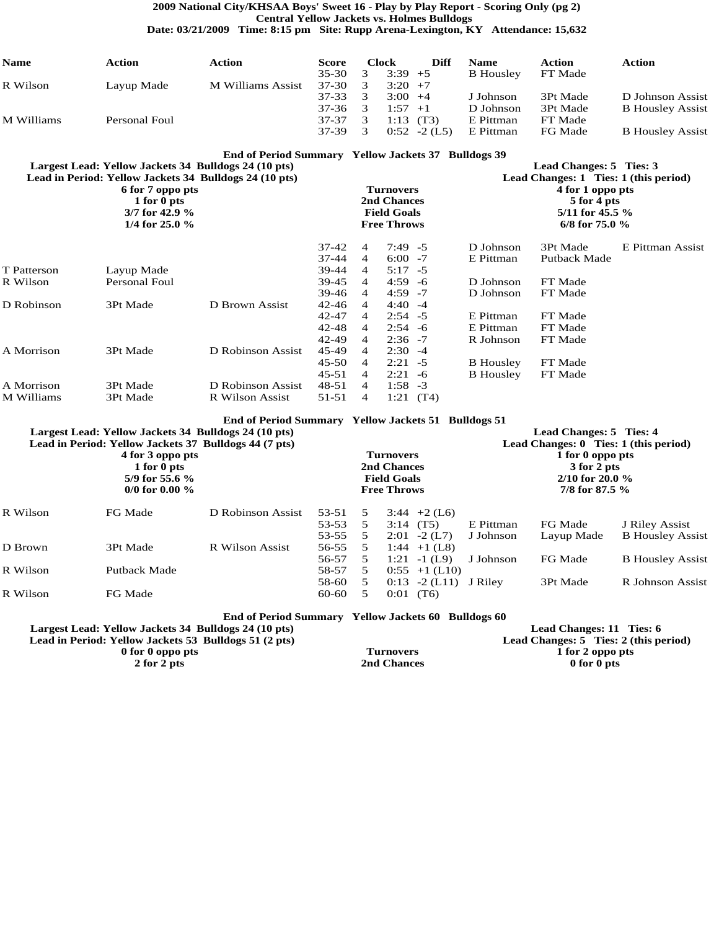**2009 National City/KHSAA Boys' Sweet 16 - Play by Play Report - Scoring Only (pg 2) Central Yellow Jackets vs. Holmes Bulldogs**

**Date: 03/21/2009 Time: 8:15 pm Site: Rupp Arena-Lexington, KY Attendance: 15,632**

| <b>Name</b> | Action        | <b>Action</b>     | Score     |               | Clock      | Diff           | <b>Name</b>      | Action   | Action                  |
|-------------|---------------|-------------------|-----------|---------------|------------|----------------|------------------|----------|-------------------------|
|             |               |                   | $35 - 30$ | 3             | $3:39 + 5$ |                | <b>B</b> Housley | FT Made  |                         |
| R Wilson    | Layup Made    | M Williams Assist | $37 - 30$ | 3             | $3:20 + 7$ |                |                  |          |                         |
|             |               |                   | 37-33     | 3             | $3:00 +4$  |                | J Johnson        | 3Pt Made | D Johnson Assist        |
|             |               |                   | 37-36     | n,            | $1:57 +1$  |                | D Johnson        | 3Pt Made | <b>B</b> Housley Assist |
| M Williams  | Personal Foul |                   | 37-37     | 3             |            | $1:13$ $(T3)$  | E Pittman        | FT Made  |                         |
|             |               |                   | 37-39     | $\mathcal{F}$ |            | $0:52$ -2 (L5) | E Pittman        | FG Made  | <b>B</b> Housley Assist |
|             |               |                   |           |               |            |                |                  |          |                         |

## **End of Period Summary Yellow Jackets 37 Bulldogs 39**

**Largest Lead: Yellow Jackets 34 Bulldogs 24 (10 pts) Lead Changes: 5 Ties: 3**

|             | Lead in Period: Yellow Jackets 34 Bulldogs 24 (10 pts)<br>6 for 7 oppo pts<br>1 for 0 pts<br>3/7 for 42.9 %<br>1/4 for 25.0 $\%$ |                   |           | <b>Turnovers</b><br>2nd Chances<br><b>Field Goals</b><br><b>Free Throws</b> |            | Lead Changes: 1 Ties: 1 (this period)<br>4 for 1 oppo pts<br>5 for 4 pts<br>5/11 for 45.5 $\%$<br>6/8 for 75.0 $\%$ |                  |              |                  |  |  |
|-------------|----------------------------------------------------------------------------------------------------------------------------------|-------------------|-----------|-----------------------------------------------------------------------------|------------|---------------------------------------------------------------------------------------------------------------------|------------------|--------------|------------------|--|--|
|             |                                                                                                                                  |                   | $37 - 42$ | $\overline{4}$                                                              | $7:49 - 5$ |                                                                                                                     | D Johnson        | 3Pt Made     | E Pittman Assist |  |  |
|             |                                                                                                                                  |                   | $37 - 44$ | $\overline{4}$                                                              | $6:00 - 7$ |                                                                                                                     | E Pittman        | Putback Made |                  |  |  |
| T Patterson | Layup Made                                                                                                                       |                   | 39-44     | $\overline{4}$                                                              | $5:17 - 5$ |                                                                                                                     |                  |              |                  |  |  |
| R Wilson    | <b>Personal Foul</b>                                                                                                             |                   | $39-45$   | $\overline{4}$                                                              | $4:59 - 6$ |                                                                                                                     | D Johnson        | FT Made      |                  |  |  |
|             |                                                                                                                                  |                   | 39-46     | $\overline{4}$                                                              | $4:59 - 7$ |                                                                                                                     | D Johnson        | FT Made      |                  |  |  |
| D Robinson  | 3Pt Made                                                                                                                         | D Brown Assist    | 42-46     | $\overline{4}$                                                              | $4:40 - 4$ |                                                                                                                     |                  |              |                  |  |  |
|             |                                                                                                                                  |                   | $42 - 47$ | 4                                                                           | $2:54 - 5$ |                                                                                                                     | E Pittman        | FT Made      |                  |  |  |
|             |                                                                                                                                  |                   | $42 - 48$ | 4                                                                           | $2:54 - 6$ |                                                                                                                     | E Pittman        | FT Made      |                  |  |  |
|             |                                                                                                                                  |                   | 42-49     | $\overline{4}$                                                              | $2:36 - 7$ |                                                                                                                     | R Johnson        | FT Made      |                  |  |  |
| A Morrison  | 3Pt Made                                                                                                                         | D Robinson Assist | 45-49     | 4                                                                           | $2:30 -4$  |                                                                                                                     |                  |              |                  |  |  |
|             |                                                                                                                                  |                   | 45-50     | 4                                                                           | $2:21 - 5$ |                                                                                                                     | <b>B</b> Housley | FT Made      |                  |  |  |
|             |                                                                                                                                  |                   | $45 - 51$ | 4                                                                           | $2:21 - 6$ |                                                                                                                     | <b>B</b> Housley | FT Made      |                  |  |  |
| A Morrison  | 3Pt Made                                                                                                                         | D Robinson Assist | 48-51     | 4                                                                           | $1:58 - 3$ |                                                                                                                     |                  |              |                  |  |  |
| M Williams  | 3Pt Made                                                                                                                         | R Wilson Assist   | 51-51     | 4                                                                           | 1:21       | (T4)                                                                                                                |                  |              |                  |  |  |

**End of Period Summary Yellow Jackets 51 Bulldogs 51**

|  |  |  |  |  |  | Largest Lead: Yellow Jackets 34 Bulldogs 24 (10 pts) |  |
|--|--|--|--|--|--|------------------------------------------------------|--|
|  |  |  |  |  |  |                                                      |  |

|          | Lead in Period: Yellow Jackets 37 Bulldogs 44 (7 pts)<br>4 for 3 oppo pts<br>1 for 0 pts<br>5/9 for 55.6 $%$<br>0/0 for 0.00 $\%$ |                   |       | <b>Turnovers</b><br>2nd Chances<br><b>Field Goals</b><br><b>Free Throws</b> |             | Lead Changes: 0 Ties: 1 (this period)<br>1 for 0 oppo pts<br>3 for 2 pts<br>$2/10$ for 20.0 %<br>7/8 for 87.5 $\%$ |           |            |                         |  |  |
|----------|-----------------------------------------------------------------------------------------------------------------------------------|-------------------|-------|-----------------------------------------------------------------------------|-------------|--------------------------------------------------------------------------------------------------------------------|-----------|------------|-------------------------|--|--|
| R Wilson | FG Made                                                                                                                           | D Robinson Assist | 53-51 | 5                                                                           |             | $3:44 +2(L6)$                                                                                                      |           |            |                         |  |  |
|          |                                                                                                                                   |                   | 53-53 | 5                                                                           | $3:14$ (T5) |                                                                                                                    | E Pittman | FG Made    | J Riley Assist          |  |  |
|          |                                                                                                                                   |                   | 53-55 | 5                                                                           |             | $2:01 - 2(L7)$                                                                                                     | J Johnson | Layup Made | <b>B</b> Housley Assist |  |  |
| D Brown  | 3Pt Made                                                                                                                          | R Wilson Assist   | 56-55 | 5                                                                           |             | 1:44 + 1 $(L8)$                                                                                                    |           |            |                         |  |  |
|          |                                                                                                                                   |                   | 56-57 | 5                                                                           |             | 1:21 $-1$ (L9)                                                                                                     | J Johnson | FG Made    | <b>B</b> Housley Assist |  |  |
| R Wilson | Putback Made                                                                                                                      |                   | 58-57 | 5                                                                           |             | $0:55$ +1 (L10)                                                                                                    |           |            |                         |  |  |
|          |                                                                                                                                   |                   | 58-60 | 5                                                                           |             | $0:13 -2$ (L11) J Riley                                                                                            |           | 3Pt Made   | R Johnson Assist        |  |  |
| R Wilson | FG Made                                                                                                                           |                   | 60-60 | 5                                                                           | 0:01        | (T <sub>6</sub> )                                                                                                  |           |            |                         |  |  |

**End of Period Summary Yellow Jackets 60 Bulldogs 60**

**Largest Lead: Yellow Jackets 34 Bulldogs 24 (10 pts) Lead Changes: 11 Ties: 6 Lead in Period: Yellow Jackets 53 Bulldogs 51 (2 pts) Lead Changes: 5** Ties: 2 (this period) **Lead Changes: 5** Ties: 2 (this period) **Lead Changes: 5** Ties: 2 (this period) **Period Example 1** to the period) **Periodic 0 for 0 oppo pts 2 for 2 pts 2nd Chances 0 for 0 pts**

Lead Changes: 5 Ties: 4